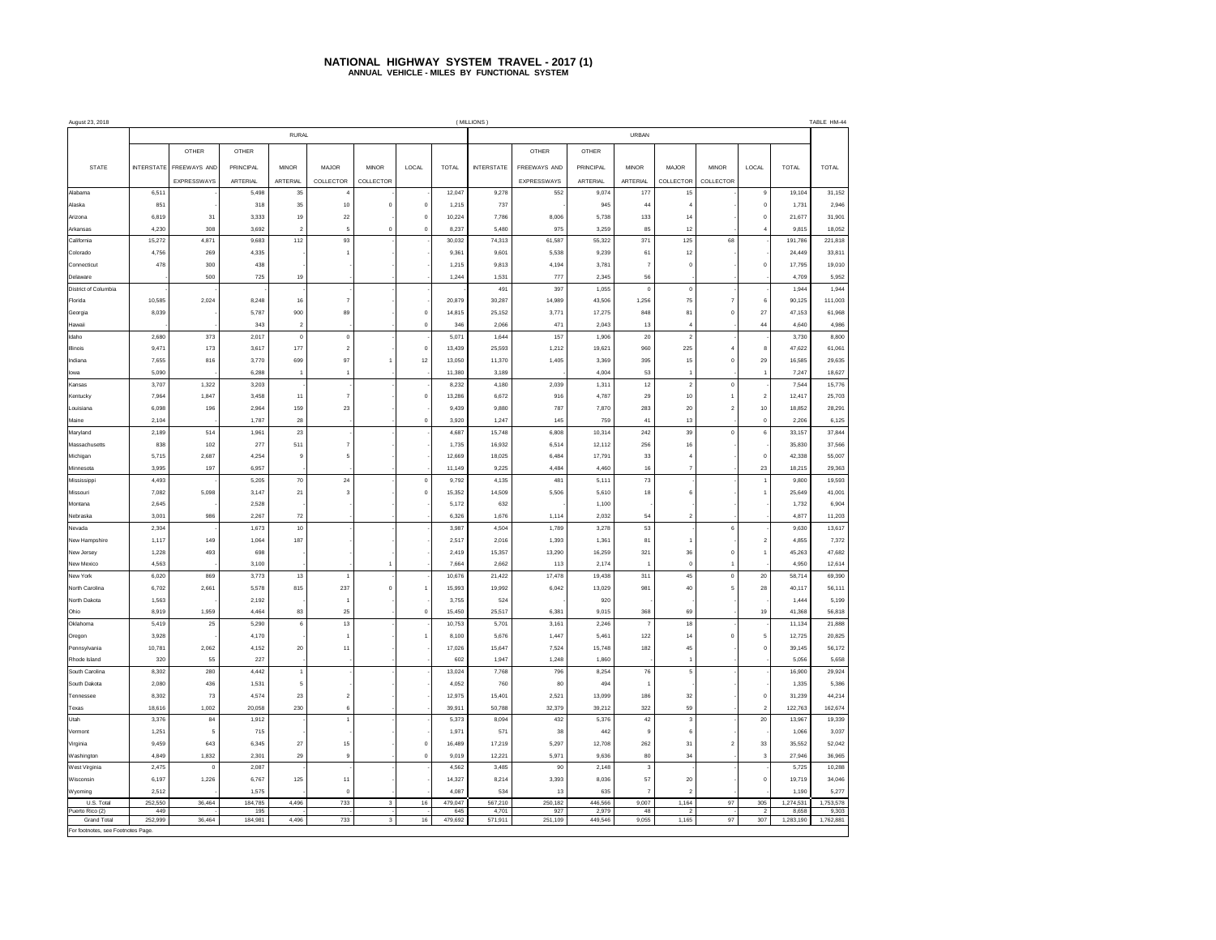## **NATIONAL HIGHWAY SYSTEM TRAVEL - 2017 (1) ANNUAL VEHICLE - MILES BY FUNCTIONAL SYSTEM**

| August 23, 2018                    | (MILLIONS)        |                |                 |                       |                      |                         |                |                  |                   |                 |                  |                |                         |                               |                       | TABLE HM-44        |                    |
|------------------------------------|-------------------|----------------|-----------------|-----------------------|----------------------|-------------------------|----------------|------------------|-------------------|-----------------|------------------|----------------|-------------------------|-------------------------------|-----------------------|--------------------|--------------------|
|                                    |                   |                |                 | <b>RURAL</b>          |                      |                         |                |                  | URBAN             |                 |                  |                |                         |                               |                       |                    |                    |
|                                    |                   | OTHER          | OTHER           |                       |                      |                         |                |                  |                   | OTHER           | OTHER            |                |                         |                               |                       |                    |                    |
| <b>STATE</b>                       | <b>INTERSTATE</b> | FREEWAYS AND   | PRINCIPAL       | <b>MINOR</b>          | MAJOR                | <b>MINOR</b>            | LOCAL          | <b>TOTAL</b>     | <b>INTERSTATE</b> | FREEWAYS AND    | PRINCIPAL        | <b>MINOR</b>   | <b>MAJOR</b>            | <b>MINOR</b>                  | LOCAL                 | <b>TOTAL</b>       | <b>TOTAL</b>       |
|                                    |                   | EXPRESSWAYS    | <b>ARTERIAL</b> | ARTERIAL              | COLLECTOR            | COLLECTOR               |                |                  |                   | EXPRESSWAYS     | ARTERIAL         | ARTERIAL       | COLLECTOR               | COLLECTOR                     |                       |                    |                    |
| Alabama                            | 6,511             |                | 5,498           | 35                    |                      |                         |                | 12,047           | 9,278             | 552             | 9,074            | 177            | 15                      |                               | $\,9$                 | 19,104             | 31,152             |
| Alaska                             | 851               |                | 318             | 35                    | 10                   | $\bf 0$                 | $\mathbf 0$    | 1,215            | 737               |                 | 945              | 44             | $\ddot{4}$              |                               | $\mathbf 0$           | 1,731              | 2,946              |
| Arizona                            | 6,819             | 31             | 3,333           | 19                    | 22                   |                         | $\Omega$       | 10.224           | 7,786             | 8,006           | 5.738            | 133            | 14                      |                               | $\bf{0}$              | 21,677             | 31,901             |
| Arkansas                           | 4,230             | 308            | 3,692           | $\overline{2}$        | 5                    | $\mathbf 0$             | $\mathbf{0}$   | 8,237            | 5,480             | 975             | 3.259            | 85             | 12                      |                               | $\overline{4}$        | 9,815              | 18,052             |
| California                         | 15,272            | 4,871          | 9,683           | 112                   | 93                   |                         |                | 30,032           | 74,313            | 61,587          | 55.322           | 371            | 125                     | 68                            |                       | 191,786            | 221,818            |
| Colorado                           | 4,756             | 269            | 4,335           |                       |                      |                         |                | 9,361            | 9,601             | 5,538           | 9,239            | 61             | 12                      |                               |                       | 24,449             | 33,811             |
| Connecticut                        | 478               | 300            | 438             |                       |                      |                         |                | 1,215            | 9,813             | 4,194           | 3,781            | $\overline{7}$ | $\bf{0}$                |                               | $\bf{0}$              | 17,795             | 19,010             |
| Delaware                           |                   | 500            | 725             | 19                    |                      |                         |                | 1,244            | 1,531             | 777             | 2,345            | 56             |                         |                               |                       | 4,709              | 5,952              |
| District of Columbia               |                   |                |                 |                       |                      |                         |                |                  | 491               | 397             | 1,055            | $\mathbf 0$    | $\mathbf 0$             |                               |                       | 1,944              | 1,944              |
| Florida                            | 10,585            | 2,024          | 8,248           | 16                    |                      |                         |                | 20,879           | 30,287            | 14,989          | 43,506           | 1,256          | 75                      | $\overline{7}$                | 6                     | 90,125             | 111,003            |
| Georgia                            | 8,039             |                | 5,787           | 900                   | 89                   |                         | $\mathbf 0$    | 14,815           | 25,152            | 3,771           | 17,275           | 848            | 81                      | $\mathbf 0$                   | $27\,$                | 47,153             | 61,968             |
| Hawai                              |                   |                | 343             | $\overline{2}$        |                      |                         | $\mathbf 0$    | 346              | 2,066             | 471             | 2,043            | 13             | $\overline{4}$          |                               | $\bf{44}$             | 4,640              | 4,986              |
| daho                               | 2,680             | 373            | 2,017           | $\circ$               | $\mathbb O$          |                         |                | 5,071            | 1,644             | 157             | 1,906            | 20             | $\overline{2}$          |                               |                       | 3,730              | 8,800              |
| Illinois                           | 9.471             | 173            | 3.617           | 177                   | $\mathfrak{p}$       |                         | $\mathbf{0}$   | 13.439           | 25.593            | 1,212           | 19,621           | 960            | 225                     | 4                             | 8                     | 47,622             | 61,061             |
| ndiana                             | 7,655             | 816            | 3,770           | 699<br>$\overline{1}$ | 97<br>$\overline{1}$ | 1                       | 12             | 13,050           | 11,370            | 1,405           | 3,369            | 395            | 15<br>$\overline{1}$    | $\bf{0}$                      | 29<br>$\overline{1}$  | 16,585             | 29,635             |
| lowa<br>Kansas                     | 5,090<br>3,707    | 1,322          | 6,288<br>3,203  |                       |                      |                         |                | 11,380<br>8,232  | 3,189<br>4,180    | 2,039           | 4,004<br>1,311   | 53<br>12       | $\,2\,$                 | $\mathbf 0$                   |                       | 7,247<br>7,544     | 18,627<br>15,776   |
| Kentucky                           | 7,964             | 1,847          | 3.458           | 11                    | $\overline{7}$       |                         | $\mathbf 0$    | 13,286           | 6,672             | 916             | 4,787            | 29             | 10                      | $\ddot{\phantom{1}}$          | $\sqrt{2}$            | 12,417             | 25,703             |
| Louisiana                          | 6,098             | 196            | 2.964           | 159                   | 23                   |                         |                | 9.439            | 9,880             | 787             | 7,870            | 283            | 20                      | $\overline{2}$                | 10                    | 18,852             | 28,291             |
| Maine                              | 2,104             |                | 1,787           | 28                    |                      |                         | $\mathbf{0}$   | 3,920            | 1,247             | 145             | 759              | 41             | 13                      |                               | $\mathbf 0$           | 2,206              | 6,125              |
| Maryland                           | 2,189             | 514            | 1,961           | 23                    |                      |                         |                | 4,687            | 15,748            | 6,808           | 10,314           | 242            | 39                      | $\mathbf 0$                   | $\mathbf 6$           | 33,157             | 37,844             |
| Massachusetts                      | 838               | 102            | 277             | 511                   | $\overline{7}$       |                         |                | 1,735            | 16,932            | 6,514           | 12,112           | 256            | 16                      |                               |                       | 35,830             | 37,566             |
| Michigan                           | 5,715             | 2,687          | 4,254           | $\overline{9}$        | 5                    |                         |                | 12,669           | 18,025            | 6,484           | 17,791           | 33             | $\overline{4}$          |                               | $\mathbf 0$           | 42,338             | 55.007             |
| Minnesota                          | 3,995             | 197            | 6,957           |                       |                      |                         |                | 11,149           | 9,225             | 4,484           | 4,460            | 16             | $\overline{\mathbf{7}}$ |                               | 23                    | 18,215             | 29,363             |
| Mississippi                        | 4,493             |                | 5,205           | 70                    | 24                   |                         | $\mathbf 0$    | 9,792            | 4,135             | 481             | 5,111            | $73\,$         |                         |                               | $\overline{1}$        | 9,800              | 19,593             |
| Missouri                           | 7,082             | 5,098          | 3,147           | 21                    | 3                    |                         | $\circ$        | 15,352           | 14,509            | 5,506           | 5,610            | 18             | $\boldsymbol{6}$        |                               | $\overline{1}$        | 25,649             | 41,001             |
| Montana                            | 2,645             |                | 2,528           |                       |                      |                         |                | 5,172            | 632               |                 | 1,100            |                |                         |                               |                       | 1,732              | 6,904              |
| Nebraska                           | 3,001             | 986            | 2,267           | 72                    |                      |                         |                | 6,326            | 1,676             | 1,114           | 2,032            | 54             | $\boldsymbol{2}$        |                               |                       | 4,877              | 11,203             |
| Nevada                             | 2,304             |                | 1,673           | 10                    |                      |                         |                | 3.987            | 4,504             | 1,789           | 3,278            | 53             |                         | $\mathbf 6$                   |                       | 9,630              | 13,617             |
| New Hampshire                      | 1,117             | 149            | 1,064           | 187                   |                      |                         |                | 2,517            | 2,016             | 1,393           | 1,361            | 81             | $\overline{1}$          |                               | $\overline{2}$        | 4,855              | 7,372              |
| New Jersey                         | 1,228             | 493            | 698             |                       |                      |                         |                | 2,419            | 15,357            | 13,290          | 16,259           | 321            | 36                      | $\mathbf 0$                   | $\overline{1}$        | 45,263             | 47,682             |
| New Mexico                         | 4,563             |                | 3,100           |                       |                      | $\overline{1}$          |                | 7,664            | 2,662             | 113             | 2,174            | $\overline{1}$ | $\mathbf 0$<br>45       | $\overline{1}$<br>$\mathbf 0$ |                       | 4,950              | 12,614             |
| New York<br>North Carolina         | 6,020<br>6.702    | 869<br>2,661   | 3,773<br>5,578  | 13<br>815             | 237                  | $\mathbf 0$             | $\overline{1}$ | 10,676<br>15.993 | 21,422<br>19.992  | 17,478<br>6,042 | 19,438<br>13,029 | 311<br>981     | 40                      | 5                             | 20<br>$\bf{28}$       | 58,714<br>40,117   | 69,390<br>56,111   |
| North Dakota                       | 1,563             |                | 2,192           |                       |                      |                         |                | 3,755            | 524               |                 | 920              |                |                         |                               |                       | 1,444              | 5,199              |
| Ohio                               | 8,919             | 1,959          | 4,464           | 83                    | 25                   |                         | $\mathbf 0$    | 15,450           | 25,517            | 6,381           | 9,015            | 368            | 69                      |                               | 19                    | 41,368             | 56,818             |
| Oklahoma                           | 5,419             | 25             | 5,290           | 6                     | 13                   |                         |                | 10,753           | 5,701             | 3,161           | 2,246            | $\overline{7}$ | 18                      |                               |                       | 11,134             | 21,888             |
| Oregon                             | 3,928             |                | 4.170           |                       |                      |                         | $\overline{1}$ | 8.100            | 5.676             | 1,447           | 5,461            | 122            | 14                      | $\mathbf 0$                   | 5                     | 12,725             | 20,825             |
| Pennsylvania                       | 10,781            | 2,062          | 4.152           | 20                    | 11                   |                         |                | 17.026           | 15.647            | 7,524           | 15.748           | 182            | 45                      |                               | $\mathbf 0$           | 39,145             | 56,172             |
| Rhode Island                       | 320               | 55             | 227             |                       |                      |                         |                | 602              | 1,947             | 1,248           | 1,860            |                | $\overline{1}$          |                               |                       | 5,056              | 5,658              |
| South Carolina                     | 8,302             | 280            | 4,442           | $\ddot{\phantom{1}}$  |                      |                         |                | 13,024           | 7,768             | 796             | 8,254            | 76             | $\mathfrak s$           |                               |                       | 16,900             | 29,924             |
| South Dakota                       | 2,080             | 436            | 1,531           | 5                     |                      |                         |                | 4,052            | 760               | 80              | 494              | $\overline{1}$ |                         |                               |                       | 1,335              | 5,386              |
| Tennessee                          | 8,302             | 73             | 4,574           | 23                    | $\overline{2}$       |                         |                | 12,975           | 15,401            | 2,521           | 13,099           | 186            | 32                      |                               | $\mathbf 0$           | 31,239             | 44,214             |
| Texas                              | 18,616            | 1,002          | 20,058          | 230                   | $\mathbf{6}$         |                         |                | 39,911           | 50,788            | 32,379          | 39,212           | 322            | 59                      |                               | $\sqrt{2}$            | 122,763            | 162,674            |
| Utah                               | 3,376             | 84             | 1,912           |                       | 1                    |                         |                | 5,373            | 8,094             | 432             | 5,376            | 42             | $\mathsf 3$             |                               | 20                    | 13,967             | 19,339             |
| Vermont                            | 1,251             | 5              | 715             |                       |                      |                         |                | 1,971            | 571               | 38              | 442              | $\overline{9}$ | 6                       |                               |                       | 1,066              | 3,037              |
| Virginia                           | 9,459             | 643            | 6,345           | 27                    | 15                   |                         | $\mathbf 0$    | 16,489           | 17,219            | 5,297           | 12,708           | 262            | 31                      | $\overline{2}$                | 33                    | 35,552             | 52,042             |
| Washington                         | 4,849             | 1,832          | 2,301           | 29                    | $\overline{9}$       |                         | $\mathbf 0$    | 9,019            | 12,221            | 5,971           | 9,636            | 80             | 34                      |                               | $\mathbf 3$           | 27,946             | 36,965             |
| West Virginia                      | 2,475             | $\overline{0}$ | 2,087           |                       |                      |                         |                | 4.562            | 3,485             | 90              | 2,148            | $\mathbf 3$    |                         |                               |                       | 5,725              | 10,288             |
| Wisconsin                          | 6,197             | 1,226          | 6,767           | 125                   | 11                   |                         |                | 14,327           | 8,214             | 3,393           | 8,036            | 57             | $20\,$                  |                               | $\mathbf 0$           | 19,719             | 34,046             |
| Wyoming<br>U.S. Total              | 2.512             |                | 1,575           |                       | $\overline{0}$       |                         |                | 4.087            | 534               | 13              | 635<br>446,566   | $\overline{7}$ | $\overline{2}$          |                               |                       | 1,190              | 5,277              |
| Puerto Rico (2)                    | 252,550<br>449    | 36,464         | 184,785<br>195  | 4,496                 | 733                  | 3                       | 16             | 479,047<br>645   | 567,210<br>4.701  | 250,182<br>927  | 2.979            | 9,007<br>48    | 1,164<br>$\overline{2}$ | 97                            | 305<br>$\overline{2}$ | 1,274,531<br>8,658 | 1,753,578<br>9.303 |
| <b>Grand Total</b>                 | 252,999           | 36,464         | 184,981         | 4,496                 | 733                  | $\overline{\mathbf{3}}$ | 16             | 479,692          | 571,911           | 251,109         | 449,546          | 9,055          | 1,165                   | 97                            | 307                   | 1,283,190          | 1,762,881          |
| For footnotes, see Footnotes Page. |                   |                |                 |                       |                      |                         |                |                  |                   |                 |                  |                |                         |                               |                       |                    |                    |